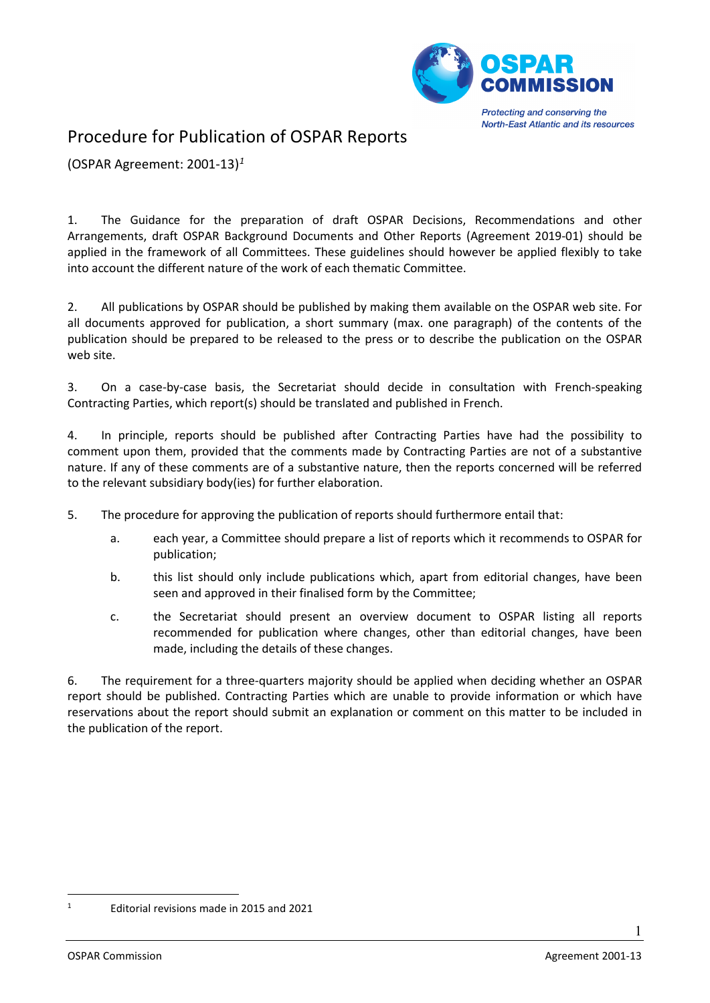

**North-East Atlantic and its resources** 

## Procedure for Publication of OSPAR Reports

(OSPAR Agreement: 2001-13)*[1](#page-0-0)*

1. The Guidance for the preparation of draft OSPAR Decisions, Recommendations and other Arrangements, draft OSPAR Background Documents and Other Reports (Agreement 2019-01) should be applied in the framework of all Committees. These guidelines should however be applied flexibly to take into account the different nature of the work of each thematic Committee.

2. All publications by OSPAR should be published by making them available on the OSPAR web site. For all documents approved for publication, a short summary (max. one paragraph) of the contents of the publication should be prepared to be released to the press or to describe the publication on the OSPAR web site.

3. On a case-by-case basis, the Secretariat should decide in consultation with French-speaking Contracting Parties, which report(s) should be translated and published in French.

4. In principle, reports should be published after Contracting Parties have had the possibility to comment upon them, provided that the comments made by Contracting Parties are not of a substantive nature. If any of these comments are of a substantive nature, then the reports concerned will be referred to the relevant subsidiary body(ies) for further elaboration.

- 5. The procedure for approving the publication of reports should furthermore entail that:
	- a. each year, a Committee should prepare a list of reports which it recommends to OSPAR for publication;
	- b. this list should only include publications which, apart from editorial changes, have been seen and approved in their finalised form by the Committee;
	- c. the Secretariat should present an overview document to OSPAR listing all reports recommended for publication where changes, other than editorial changes, have been made, including the details of these changes.

6. The requirement for a three-quarters majority should be applied when deciding whether an OSPAR report should be published. Contracting Parties which are unable to provide information or which have reservations about the report should submit an explanation or comment on this matter to be included in the publication of the report.

1

<span id="page-0-0"></span><sup>1</sup> Editorial revisions made in 2015 and 2021